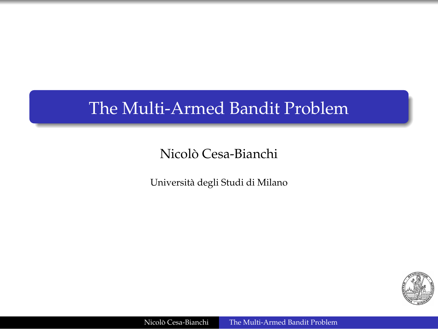### The Multi-Armed Bandit Problem

### Nicolo Cesa-Bianchi `

Universita degli Studi di Milano `

<span id="page-0-0"></span>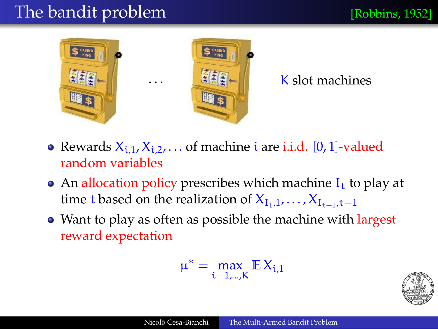# The bandit problem [Robbins, 1952]





## $\left| \frac{1}{2} \right|$  K slot machines

- Rewards  $X_{i,1}, X_{i,2}, \ldots$  of machine i are i.i.d. [0, 1]-valued random variables
- An allocation policy prescribes which machine  $I_t$  to play at time t based on the realization of  $X_{I_1,1}, \ldots, X_{I_{t-1},t-1}$
- Want to play as often as possible the machine with largest reward expectation

$$
\mu^* = \max_{i=1,\ldots,K} \mathbb{E}\, X_{i,1}
$$

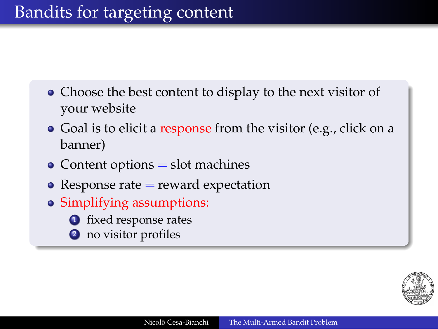- Choose the best content to display to the next visitor of your website
- Goal is to elicit a response from the visitor (e.g., click on a banner)
- $\bullet$  Content options  $=$  slot machines
- Response rate  $=$  reward expectation
- Simplifying assumptions:
	- **1** fixed response rates
	- <sup>2</sup> no visitor profiles

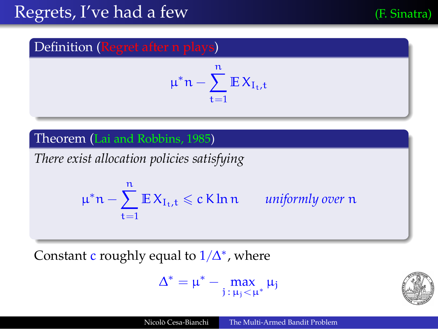### Definition (Regret after n plays)

$$
\mu^*n - \sum_{t=1}^n \mathbb{E} X_{I_t,t}
$$

#### Theorem (Lai and Robbins, 1985)

*There exist allocation policies satisfying*

$$
\mu^* n - \sum_{t=1}^n \mathbb{E} X_{I_t,t} \leqslant c \, \mathsf{K} \ln n \qquad \textit{uniformly over } n
$$

Constant c roughly equal to  $1/\Delta^*$ , where

$$
\Delta^*=\mu^*-\max_{j\,:\,\mu_j<\mu^*}\mu_j
$$

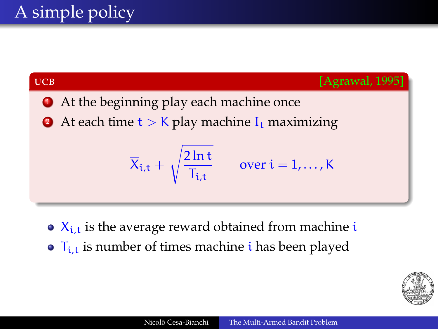

- $\sqrt{\mathbf{X}_{i,t}}$  is the average reward obtained from machine i
- $\bullet$   $\mathsf{T}_{i}$  is number of times machine *i* has been played

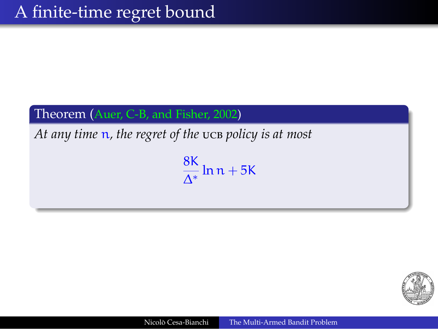#### Theorem (Auer, C-B, and Fisher, 2002)

*At any time* n*, the regret of the policy is at most*

8K  $\frac{\partial}{\partial x} \ln n + 5K$ 

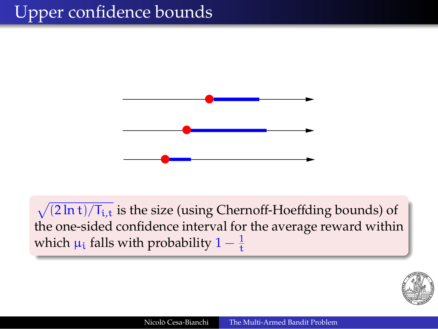# Upper confidence bounds



 $\sqrt{(2 \ln t)/T_{i,t}}$  is the size (using Chernoff-Hoeffding bounds) of the one-sided confidence interval for the average reward within which  $\mu_{\text{i}}$  falls with probability  $1-\frac{1}{\text{t}}$ 

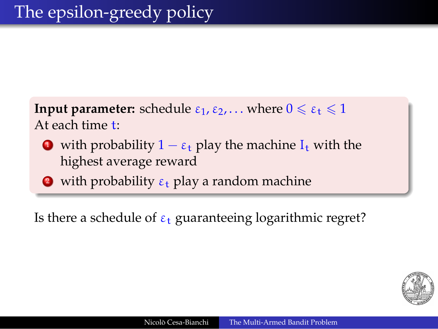**Input parameter:** schedule  $\varepsilon_1, \varepsilon_2, \ldots$  where  $0 \le \varepsilon_t \le 1$ At each time t:

- with probability  $1 \varepsilon_t$  play the machine  $I_t$  with the highest average reward
- **2** with probability  $\varepsilon_t$  play a random machine

Is there a schedule of  $\varepsilon_t$  guaranteeing logarithmic regret?

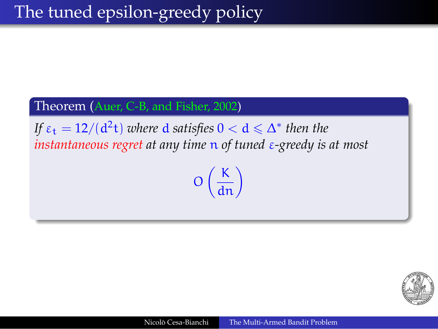#### Theorem (Auer, C-B, and Fisher, 2002)

*If*  $\varepsilon_t = 12/(d^2t)$  *where* **d** satisfies  $0 < d \leq \Delta^*$  then the *instantaneous regret at any time* n *of tuned* ε*-greedy is at most*

 $O\left(\frac{K}{dn}\right)$ 

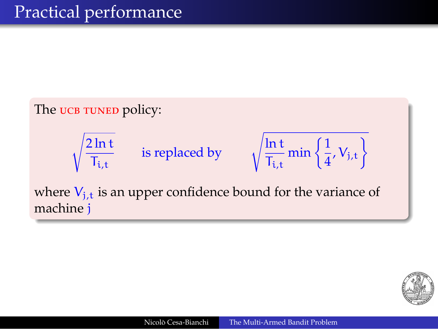

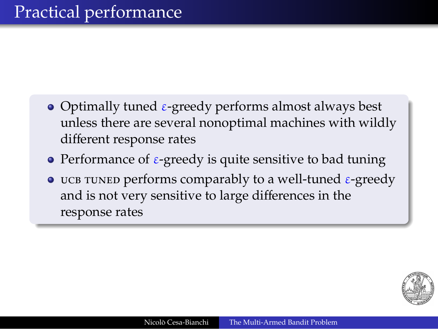- Optimally tuned  $\varepsilon$ -greedy performs almost always best unless there are several nonoptimal machines with wildly different response rates
- Performance of ε-greedy is quite sensitive to bad tuning
- **P** UCB TUNED performs comparably to a well-tuned  $\varepsilon$ -greedy and is not very sensitive to large differences in the response rates

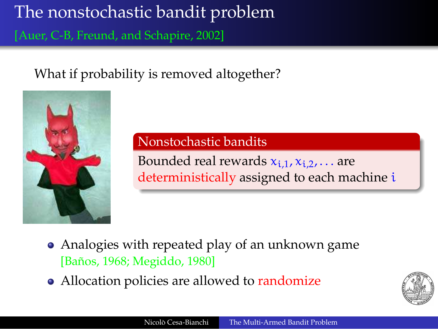# The nonstochastic bandit problem

[Auer, C-B, Freund, and Schapire, 2002]

What if probability is removed altogether?



#### Nonstochastic bandits

Bounded real rewards  $x_{i,1}$ ,  $x_{i,2}$ , ... are deterministically assigned to each machine i

- Analogies with repeated play of an unknown game [Baños, 1968; Megiddo, 1980]
- Allocation policies are allowed to randomize

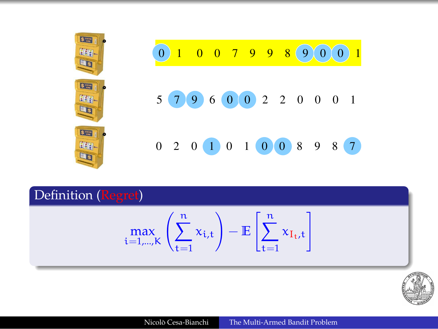| Lus                        | $0 \t0 \t7 \t9 \t9 \t8$<br>$\sqrt{9}$<br>$\Omega$<br>$\overline{0}$<br>$\vert 0 \vert$ |
|----------------------------|----------------------------------------------------------------------------------------|
| $s -$<br>EEG<br><b>LES</b> | $5$ (7 (9 ) 6 (0 ) 0 2 2 0 0 0 1<br>$\overline{\phantom{0}}$                           |
| <b>S</b> With<br>幽る        | $0$ 2 0 1 0 1 0 0 8 9 8                                                                |

Definition (Regret)

$$
\max_{i=1,\ldots,K} \left(\sum_{t=1}^n x_{i,t}\right) - \mathbb{E}\left[\sum_{t=1}^n x_{I_t,t}\right]
$$

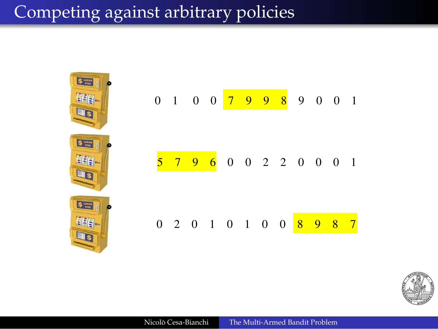# Competing against arbitrary policies



|  | $0$ 1 0 0 <mark>7 9 9 8</mark> 9 0 0 1 |  |  |  |  |  |
|--|----------------------------------------|--|--|--|--|--|
|  |                                        |  |  |  |  |  |
|  | 5 7 9 6 0 0 2 2 0 0 0 1                |  |  |  |  |  |
|  |                                        |  |  |  |  |  |
|  |                                        |  |  |  |  |  |
|  | 0 2 0 1 0 1 0 0 <mark>8 9 8 7</mark>   |  |  |  |  |  |